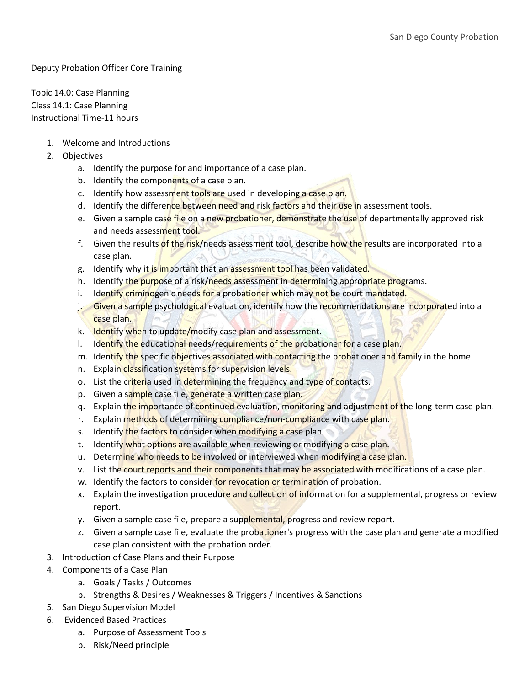Deputy Probation Officer Core Training

Topic 14.0: Case Planning Class 14.1: Case Planning Instructional Time-11 hours

- 1. Welcome and Introductions
- 2. Objectives
	- a. Identify the purpose for and importance of a case plan.
	- b. Identify the components of a case plan.
	- c. Identify how assessment tools are used in developing a case plan.
	- d. Identify the difference between need and risk factors and their use in assessment tools.
	- e. Given a sample case file on a new probationer, demonstrate the use of departmentally approved risk and needs assessment tool.
	- f. Given the results of the risk/needs assessment tool, describe how the results are incorporated into a case plan.
	- g. Identify why it is important that an assessment tool has been validated.
	- h. Identify the purpose of a risk/needs assessment in determining appropriate programs.
	- i. Identify criminogenic needs for a probationer which may not be court mandated.
	- j. Given a sample psychological evaluation, identify how the recommendations are incorporated into a case plan.
	- k. Identify when to update/modify case plan and assessment.
	- I. Identify the educational needs/requirements of the probationer for a case plan.
	- m. Identify the specific objectives associated with contacting the probationer and family in the home.
	- n. Explain classification systems for supervision levels.
	- o. List the criteria used in determining the frequency and type of contacts.
	- p. Given a sample case file, generate a written case plan.
	- q. Explain the importance of continued evaluation, monitoring and adjustment of the long-term case plan.
	- r. Explain methods of determining compliance/non-compliance with case plan.
	- s. Identify the factors to consider when modifying a case plan.
	- t. Identify what options are available when reviewing or modifying a case plan.
	- u. Determine who needs to be involved or interviewed when modifying a case plan.
	- v. List the court reports and their components that may be associated with modifications of a case plan.
	- w. Identify the factors to consider for revocation or termination of probation.
	- x. Explain the investigation procedure and collection of information for a supplemental, progress or review report.
	- y. Given a sample case file, prepare a supplemental, progress and review report.
	- z. Given a sample case file, evaluate the probationer's progress with the case plan and generate a modified case plan consistent with the probation order.
- 3. Introduction of Case Plans and their Purpose
- 4. Components of a Case Plan
	- a. Goals / Tasks / Outcomes
	- b. Strengths & Desires / Weaknesses & Triggers / Incentives & Sanctions
- 5. San Diego Supervision Model
- 6. Evidenced Based Practices
	- a. Purpose of Assessment Tools
	- b. Risk/Need principle